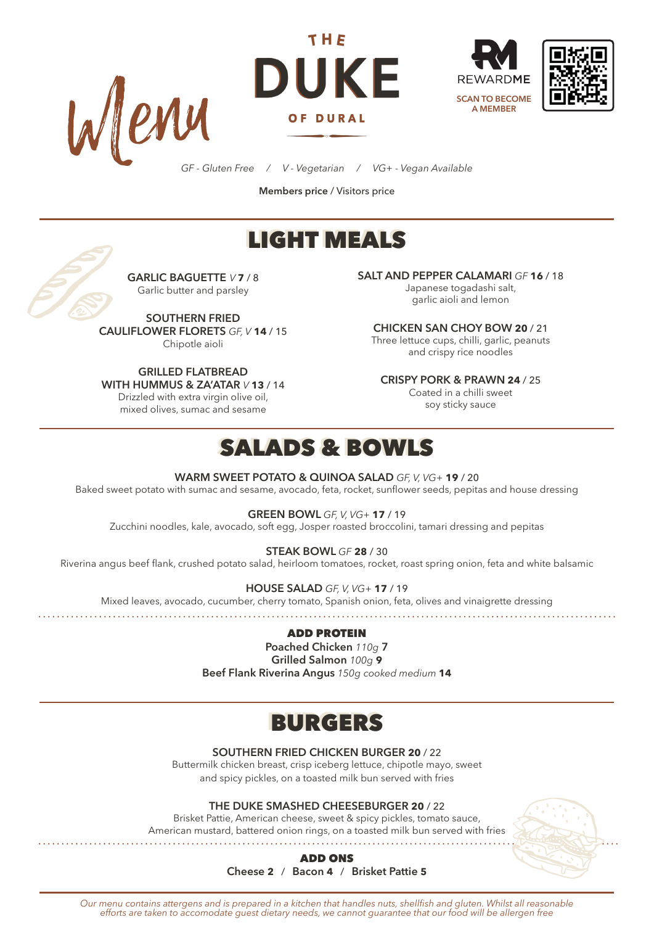







*GF - Gluten Free / V - Vegetarian / VG+ - Vegan Available*

**Members price** / Visitors price

# LIGHT MEALS



**GARLIC BAGUETTE** *V* **7** / 8 Garlic butter and parsley

**SOUTHERN FRIED CAULIFLOWER FLORETS** *GF, V* **14** / 15 Chipotle aioli

**GRILLED FLATBREAD WITH HUMMUS & ZA'ATAR** *V* **13** / 14

Drizzled with extra virgin olive oil, mixed olives, sumac and sesame

**SALT AND PEPPER CALAMARI** *GF* **16** / 18 Japanese togadashi salt,

garlic aioli and lemon

**CHICKEN SAN CHOY BOW 20** / 21 Three lettuce cups, chilli, garlic, peanuts and crispy rice noodles

**CRISPY PORK & PRAWN 24** / 25

Coated in a chilli sweet soy sticky sauce

## SALADS & BOWLS

**WARM SWEET POTATO & QUINOA SALAD** *GF, V, VG+* **19** / 20

Baked sweet potato with sumac and sesame, avocado, feta, rocket, sunflower seeds, pepitas and house dressing

**GREEN BOWL** *GF, V, VG+* **17** / 19

Zucchini noodles, kale, avocado, soft egg, Josper roasted broccolini, tamari dressing and pepitas

**STEAK BOWL** *GF* **28** / 30

Riverina angus beef flank, crushed potato salad, heirloom tomatoes, rocket, roast spring onion, feta and white balsamic

**HOUSE SALAD** *GF, V, VG+* **17** / 19

Mixed leaves, avocado, cucumber, cherry tomato, Spanish onion, feta, olives and vinaigrette dressing

#### ADD PROTEIN

**Poached Chicken** *110g* **7 Grilled Salmon** *100g* **9 Beef Flank Riverina Angus** *150g cooked medium* **14**

## BURGERS

**SOUTHERN FRIED CHICKEN BURGER 20** / 22

Buttermilk chicken breast, crisp iceberg lettuce, chipotle mayo, sweet and spicy pickles, on a toasted milk bun served with fries

**THE DUKE SMASHED CHEESEBURGER 20** / 22

Brisket Pattie, American cheese, sweet & spicy pickles, tomato sauce, American mustard, battered onion rings, on a toasted milk bun served with fries



ADD ONS **Cheese 2** / **Bacon 4** / **Brisket Pattie 5**

*Our menu contains attergens and is prepared in a kitchen that handles nuts, shellfish and gluten. Whilst all reasonable efforts are taken to accomodate guest dietary needs, we cannot guarantee that our food will be allergen free*